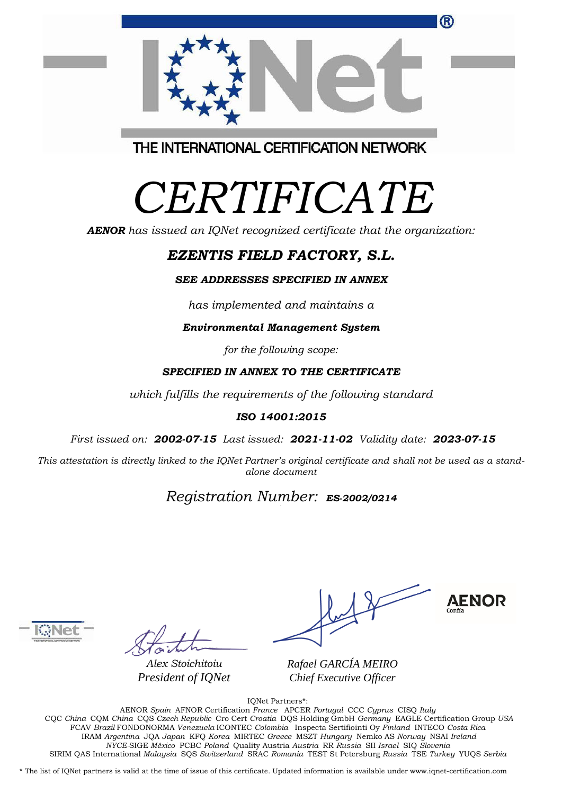|  | ® |
|--|---|
|  |   |
|  |   |
|  |   |
|  |   |

THE INTERNATIONAL CERTIFICATION NETWORK

# *CERTIFICATE*

*AENOR has issued an IQNet recognized certificate that the organization:*

# *EZENTIS FIELD FACTORY, S.L.*

#### *SEE ADDRESSES SPECIFIED IN ANNEX*

*has implemented and maintains a*

*Environmental Management System*

*for the following scope:* 

#### *SPECIFIED IN ANNEX TO THE CERTIFICATE*

*which fulfills the requirements of the following standard*

#### *ISO 14001:2015*

*First issued on: 2002-07-15 Last issued: 2021-11-02 Validity date: 2023-07-15*

This attestation is directly linked to the IQNet Partner's original certificate and shall not be used as a stand*alone document*

## *Registration Number: ES-2002/0214*



*Alex Stoichitoiu President of IQNet*

**AENOR** 

*Rafael GARCÍA MEIRO Chief Executive Officer*

IQNet Partners\*:

AENOR *Spain* AFNOR Certification *France* APCER *Portugal* CCC *Cyprus* CISQ *Italy* CQC *China* CQM *China* CQS *Czech Republic* Cro Cert *Croatia* DQS Holding GmbH *Germany* EAGLE Certification Group *USA* FCAV *Brazil* FONDONORMA *Venezuela* ICONTEC *Colombia* Inspecta Sertifiointi Oy *Finland* INTECO *Costa Rica* IRAM *Argentina* JQA *Japan* KFQ *Korea* MIRTEC *Greece* MSZT *Hungary* Nemko AS *Norway* NSAI *Ireland NYCE-*SIGE *México* PCBC *Poland* Quality Austria *Austria* RR *Russia* SII *Israel* SIQ *Slovenia*  SIRIM QAS International *Malaysia* SQS *Switzerland* SRAC *Romania* TEST St Petersburg *Russia* TSE *Turkey* YUQS *Serbia*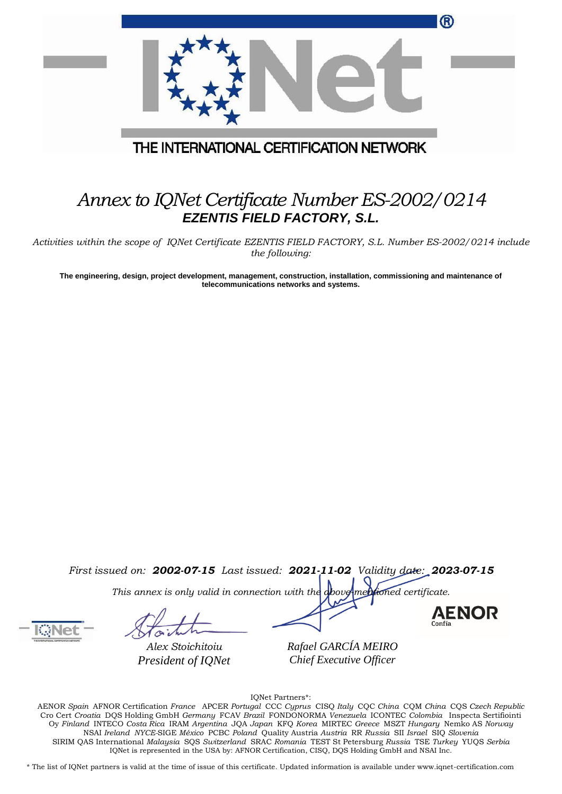|                                         | ® |
|-----------------------------------------|---|
|                                         |   |
| THE INTERNATIONAL CERTIFICATION NETWORK |   |

## *Annex to IQNet Certificate Number ES-2002/0214 EZENTIS FIELD FACTORY, S.L.*

*Activities within the scope of IQNet Certificate EZENTIS FIELD FACTORY, S.L. Number ES-2002/0214 include the following:*

**The engineering, design, project development, management, construction, installation, commissioning and maintenance of telecommunications networks and systems.**

*First issued on: 2002-07-15 Last issued: 2021-11-02 Validity date: 2023-07-15*

*This annex is only valid in connection with the above-mentioned certificate.*

*Alex Stoichitoiu President of IQNet*



**AENOR** 

*Rafael GARCÍA MEIRO Chief Executive Officer*

IQNet Partners\*:

AENOR *Spain* AFNOR Certification *France* APCER *Portugal* CCC *Cyprus* CISQ *Italy* CQC *China* CQM *China* CQS *Czech Republic*  Cro Cert *Croatia* DQS Holding GmbH *Germany* FCAV *Brazil* FONDONORMA *Venezuela* ICONTEC *Colombia* Inspecta Sertifiointi Oy *Finland* INTECO *Costa Rica* IRAM *Argentina* JQA *Japan* KFQ *Korea* MIRTEC *Greece* MSZT *Hungary* Nemko AS *Norway*  NSAI *Ireland NYCE-*SIGE *México* PCBC *Poland* Quality Austria *Austria* RR *Russia* SII *Israel* SIQ *Slovenia*  SIRIM QAS International *Malaysia* SQS *Switzerland* SRAC *Romania* TEST St Petersburg *Russia* TSE *Turkey* YUQS *Serbia* IQNet is represented in the USA by: AFNOR Certification, CISQ, DQS Holding GmbH and NSAI Inc.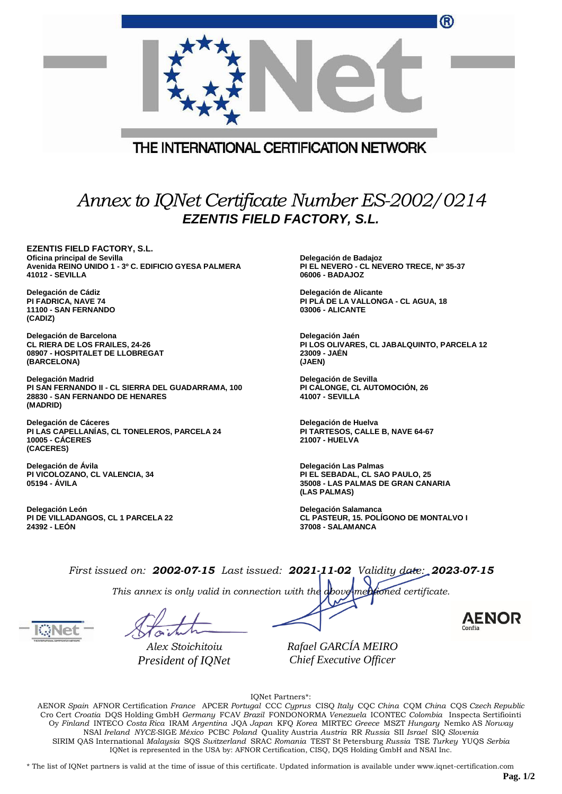|                                                                                                                                                      | ®                                                                                                                                                             |
|------------------------------------------------------------------------------------------------------------------------------------------------------|---------------------------------------------------------------------------------------------------------------------------------------------------------------|
|                                                                                                                                                      | THE INTERNATIONAL CERTIFICATION NETWORK                                                                                                                       |
|                                                                                                                                                      |                                                                                                                                                               |
|                                                                                                                                                      | Annex to IQNet Certificate Number ES-2002/0214<br><b>EZENTIS FIELD FACTORY, S.L.</b>                                                                          |
| <b>EZENTIS FIELD FACTORY, S.L.</b><br>Oficina principal de Sevilla<br>Avenida REINO UNIDO 1 - 3º C. EDIFICIO GYESA PALMERA<br><b>41012 - SEVILLA</b> | Delegación de Badajoz<br>PI EL NEVERO - CL NEVERO TRECE, Nº 35-37<br>06006 - BADAJOZ                                                                          |
| Delegación de Cádiz<br>PI FADRICA, NAVE 74<br>11100 - SAN FERNANDO<br>(CADIZ)                                                                        | Delegación de Alicante<br>PI PLA DE LA VALLONGA - CL AGUA, 18<br><b>03006 - ALICANTE</b>                                                                      |
| Delegación de Barcelona<br><b>CL RIERA DE LOS FRAILES, 24-26</b><br>08907 - HOSPITALET DE LLOBREGAT<br>(BARCELONA)                                   | Delegación Jaén<br>PI LOS OLIVARES, CL JABALQUINTO, PARCELA 12<br>23009 - JAEN<br>(JAEN)                                                                      |
| Delegación Madrid<br>PI SAN FERNANDO II - CL SIERRA DEL GUADARRAMA, 100<br>28830 - SAN FERNANDO DE HENARES<br>(MADRID)                               | Delegación de Sevilla<br>PI CALONGE, CL AUTOMOCIÓN, 26<br><b>41007 - SEVILLA</b>                                                                              |
| Delegación de Cáceres<br>PI LAS CAPELLANIAS, CL TONELEROS, PARCELA 24<br><b>10005 - CACERES</b><br>(CACERES)                                         | Delegación de Huelva<br>PI TARTESOS, CALLE B, NAVE 64-67<br>21007 - HUELVA                                                                                    |
| Delegación de Ávila<br>PI VICOLOZANO, CL VALENCIA, 34<br>05194 - AVILA                                                                               | Delegación Las Palmas<br>PI EL SEBADAL, CL SAO PAULO, 25<br>35008 - LAS PALMAS DE GRAN CANARIA<br>(LAS PALMAS)                                                |
| Delegación León<br>PI DE VILLADANGOS, CL 1 PARCELA 22<br>24392 - LEON                                                                                | Delegación Salamanca<br>CL PASTEUR, 15. POLÍGONO DE MONTALVO I<br>37008 - SALAMANCA                                                                           |
|                                                                                                                                                      | First issued on: 2002-07-15 Last issued: 2021-11-02 Validity date: 2023-07-15<br>This annex is only valid in connection with the above mentioned certificate. |
|                                                                                                                                                      | <b>AENOI</b>                                                                                                                                                  |
| Alex Stoichitoiu<br>President of IQNet                                                                                                               | Rafael GARCÍA MEIRO<br>Chief Executive Officer                                                                                                                |

IQNet Partners\*:

AENOR *Spain* AFNOR Certification *France* APCER *Portugal* CCC *Cyprus* CISQ *Italy* CQC *China* CQM *China* CQS *Czech Republic*  Cro Cert *Croatia* DQS Holding GmbH *Germany* FCAV *Brazil* FONDONORMA *Venezuela* ICONTEC *Colombia* Inspecta Sertifiointi Oy *Finland* INTECO *Costa Rica* IRAM *Argentina* JQA *Japan* KFQ *Korea* MIRTEC *Greece* MSZT *Hungary* Nemko AS *Norway*  NSAI *Ireland NYCE-*SIGE *México* PCBC *Poland* Quality Austria *Austria* RR *Russia* SII *Israel* SIQ *Slovenia*  SIRIM QAS International *Malaysia* SQS *Switzerland* SRAC *Romania* TEST St Petersburg *Russia* TSE *Turkey* YUQS *Serbia* IQNet is represented in the USA by: AFNOR Certification, CISQ, DQS Holding GmbH and NSAI Inc.